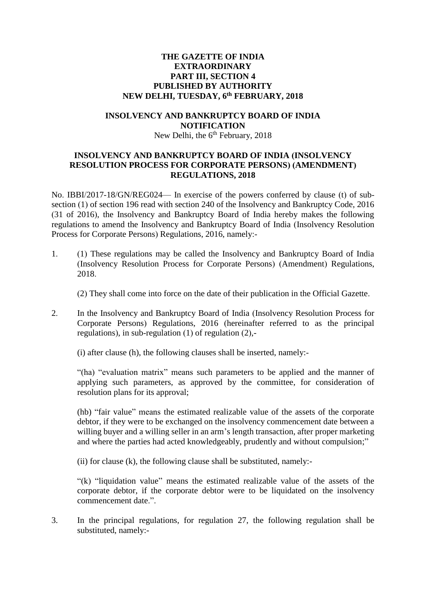## **THE GAZETTE OF INDIA EXTRAORDINARY PART III, SECTION 4 PUBLISHED BY AUTHORITY NEW DELHI, TUESDAY, 6 th FEBRUARY, 2018**

#### **INSOLVENCY AND BANKRUPTCY BOARD OF INDIA NOTIFICATION**

### New Delhi, the 6<sup>th</sup> February, 2018

## **INSOLVENCY AND BANKRUPTCY BOARD OF INDIA (INSOLVENCY RESOLUTION PROCESS FOR CORPORATE PERSONS) (AMENDMENT) REGULATIONS, 2018**

No. IBBI/2017-18/GN/REG024— In exercise of the powers conferred by clause (t) of subsection (1) of section 196 read with section 240 of the Insolvency and Bankruptcy Code, 2016 (31 of 2016), the Insolvency and Bankruptcy Board of India hereby makes the following regulations to amend the Insolvency and Bankruptcy Board of India (Insolvency Resolution Process for Corporate Persons) Regulations, 2016, namely:-

1. (1) These regulations may be called the Insolvency and Bankruptcy Board of India (Insolvency Resolution Process for Corporate Persons) (Amendment) Regulations, 2018.

(2) They shall come into force on the date of their publication in the Official Gazette.

2. In the Insolvency and Bankruptcy Board of India (Insolvency Resolution Process for Corporate Persons) Regulations, 2016 (hereinafter referred to as the principal regulations), in sub-regulation (1) of regulation (2),-

(i) after clause (h), the following clauses shall be inserted, namely:-

"(ha) "evaluation matrix" means such parameters to be applied and the manner of applying such parameters, as approved by the committee, for consideration of resolution plans for its approval;

(hb) "fair value" means the estimated realizable value of the assets of the corporate debtor, if they were to be exchanged on the insolvency commencement date between a willing buyer and a willing seller in an arm's length transaction, after proper marketing and where the parties had acted knowledgeably, prudently and without compulsion;"

(ii) for clause (k), the following clause shall be substituted, namely:-

"(k) "liquidation value" means the estimated realizable value of the assets of the corporate debtor, if the corporate debtor were to be liquidated on the insolvency commencement date.".

3. In the principal regulations, for regulation 27, the following regulation shall be substituted, namely:-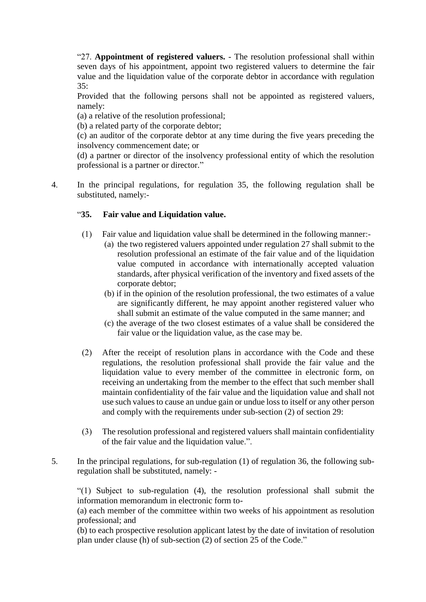"27. **Appointment of registered valuers.** - The resolution professional shall within seven days of his appointment, appoint two registered valuers to determine the fair value and the liquidation value of the corporate debtor in accordance with regulation 35:

Provided that the following persons shall not be appointed as registered valuers, namely:

(a) a relative of the resolution professional;

(b) a related party of the corporate debtor;

(c) an auditor of the corporate debtor at any time during the five years preceding the insolvency commencement date; or

(d) a partner or director of the insolvency professional entity of which the resolution professional is a partner or director."

4. In the principal regulations, for regulation 35, the following regulation shall be substituted, namely:-

# "**35. Fair value and Liquidation value.**

- (1) Fair value and liquidation value shall be determined in the following manner:-
	- (a) the two registered valuers appointed under regulation 27 shall submit to the resolution professional an estimate of the fair value and of the liquidation value computed in accordance with internationally accepted valuation standards, after physical verification of the inventory and fixed assets of the corporate debtor;
	- (b) if in the opinion of the resolution professional, the two estimates of a value are significantly different, he may appoint another registered valuer who shall submit an estimate of the value computed in the same manner; and
	- (c) the average of the two closest estimates of a value shall be considered the fair value or the liquidation value, as the case may be.
- (2) After the receipt of resolution plans in accordance with the Code and these regulations, the resolution professional shall provide the fair value and the liquidation value to every member of the committee in electronic form, on receiving an undertaking from the member to the effect that such member shall maintain confidentiality of the fair value and the liquidation value and shall not use such values to cause an undue gain or undue loss to itself or any other person and comply with the requirements under sub-section (2) of section 29:
- (3) The resolution professional and registered valuers shall maintain confidentiality of the fair value and the liquidation value.".
- 5. In the principal regulations, for sub-regulation (1) of regulation 36, the following subregulation shall be substituted, namely: -

"(1) Subject to sub-regulation (4), the resolution professional shall submit the information memorandum in electronic form to-

(a) each member of the committee within two weeks of his appointment as resolution professional; and

(b) to each prospective resolution applicant latest by the date of invitation of resolution plan under clause (h) of sub-section (2) of section 25 of the Code."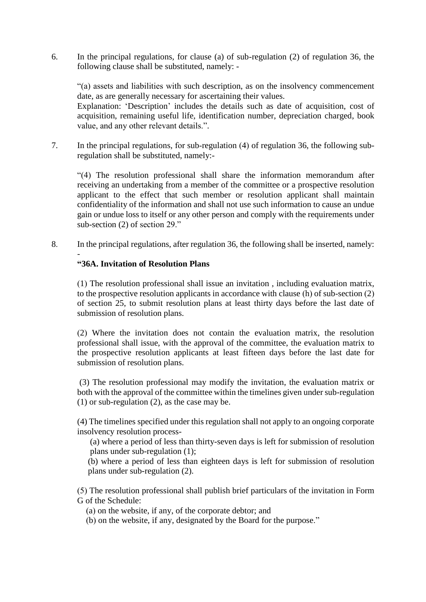6. In the principal regulations, for clause (a) of sub-regulation (2) of regulation 36, the following clause shall be substituted, namely: -

"(a) assets and liabilities with such description, as on the insolvency commencement date, as are generally necessary for ascertaining their values.

Explanation: 'Description' includes the details such as date of acquisition, cost of acquisition, remaining useful life, identification number, depreciation charged, book value, and any other relevant details.".

7. In the principal regulations, for sub-regulation (4) of regulation 36, the following subregulation shall be substituted, namely:-

"(4) The resolution professional shall share the information memorandum after receiving an undertaking from a member of the committee or a prospective resolution applicant to the effect that such member or resolution applicant shall maintain confidentiality of the information and shall not use such information to cause an undue gain or undue loss to itself or any other person and comply with the requirements under sub-section (2) of section 29."

8. In the principal regulations, after regulation 36, the following shall be inserted, namely:

#### - **"36A. Invitation of Resolution Plans**

(1) The resolution professional shall issue an invitation , including evaluation matrix, to the prospective resolution applicants in accordance with clause (h) of sub-section (2) of section 25, to submit resolution plans at least thirty days before the last date of submission of resolution plans.

(2) Where the invitation does not contain the evaluation matrix, the resolution professional shall issue, with the approval of the committee, the evaluation matrix to the prospective resolution applicants at least fifteen days before the last date for submission of resolution plans.

(3) The resolution professional may modify the invitation, the evaluation matrix or both with the approval of the committee within the timelines given under sub-regulation (1) or sub-regulation (2), as the case may be.

(4) The timelines specified under this regulation shall not apply to an ongoing corporate insolvency resolution process-

(a) where a period of less than thirty-seven days is left for submission of resolution plans under sub-regulation (1);

(b) where a period of less than eighteen days is left for submission of resolution plans under sub-regulation (2).

(5) The resolution professional shall publish brief particulars of the invitation in Form G of the Schedule:

(a) on the website, if any, of the corporate debtor; and

(b) on the website, if any, designated by the Board for the purpose."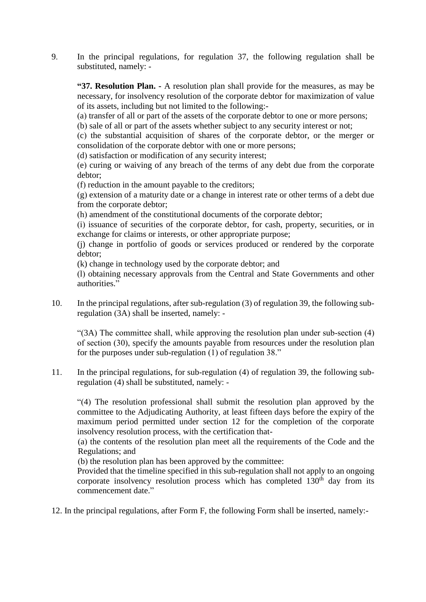9. In the principal regulations, for regulation 37, the following regulation shall be substituted, namely: -

**"37. Resolution Plan. -** A resolution plan shall provide for the measures, as may be necessary, for insolvency resolution of the corporate debtor for maximization of value of its assets, including but not limited to the following:-

(a) transfer of all or part of the assets of the corporate debtor to one or more persons;

(b) sale of all or part of the assets whether subject to any security interest or not;

(c) the substantial acquisition of shares of the corporate debtor, or the merger or consolidation of the corporate debtor with one or more persons;

(d) satisfaction or modification of any security interest;

(e) curing or waiving of any breach of the terms of any debt due from the corporate debtor;

(f) reduction in the amount payable to the creditors;

(g) extension of a maturity date or a change in interest rate or other terms of a debt due from the corporate debtor;

(h) amendment of the constitutional documents of the corporate debtor;

(i) issuance of securities of the corporate debtor, for cash, property, securities, or in exchange for claims or interests, or other appropriate purpose;

(j) change in portfolio of goods or services produced or rendered by the corporate debtor;

(k) change in technology used by the corporate debtor; and

(l) obtaining necessary approvals from the Central and State Governments and other authorities."

10. In the principal regulations, after sub-regulation (3) of regulation 39, the following subregulation (3A) shall be inserted, namely: -

"(3A) The committee shall, while approving the resolution plan under sub-section (4) of section (30), specify the amounts payable from resources under the resolution plan for the purposes under sub-regulation (1) of regulation 38."

11. In the principal regulations, for sub-regulation (4) of regulation 39, the following subregulation (4) shall be substituted, namely: -

"(4) The resolution professional shall submit the resolution plan approved by the committee to the Adjudicating Authority, at least fifteen days before the expiry of the maximum period permitted under section 12 for the completion of the corporate insolvency resolution process, with the certification that-

(a) the contents of the resolution plan meet all the requirements of the Code and the Regulations; and

(b) the resolution plan has been approved by the committee:

Provided that the timeline specified in this sub-regulation shall not apply to an ongoing corporate insolvency resolution process which has completed  $130<sup>th</sup>$  day from its commencement date."

12. In the principal regulations, after Form F, the following Form shall be inserted, namely:-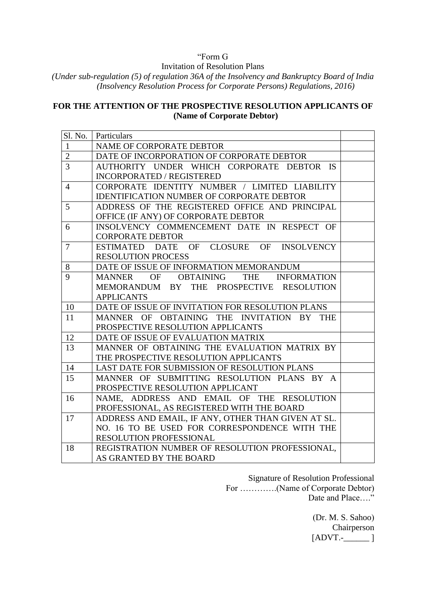# "Form G

Invitation of Resolution Plans

*(Under sub-regulation (5) of regulation 36A of the Insolvency and Bankruptcy Board of India (Insolvency Resolution Process for Corporate Persons) Regulations, 2016)*

## **FOR THE ATTENTION OF THE PROSPECTIVE RESOLUTION APPLICANTS OF (Name of Corporate Debtor)**

|                | Sl. No.   Particulars                               |  |
|----------------|-----------------------------------------------------|--|
| $\mathbf{1}$   | NAME OF CORPORATE DEBTOR                            |  |
| $\overline{2}$ | DATE OF INCORPORATION OF CORPORATE DEBTOR           |  |
| $\overline{3}$ | AUTHORITY UNDER WHICH CORPORATE DEBTOR IS           |  |
|                | INCORPORATED / REGISTERED                           |  |
| $\overline{4}$ | CORPORATE IDENTITY NUMBER / LIMITED LIABILITY       |  |
|                | <b>IDENTIFICATION NUMBER OF CORPORATE DEBTOR</b>    |  |
| 5              | ADDRESS OF THE REGISTERED OFFICE AND PRINCIPAL      |  |
|                | OFFICE (IF ANY) OF CORPORATE DEBTOR                 |  |
| 6              | INSOLVENCY COMMENCEMENT DATE IN RESPECT OF          |  |
|                | <b>CORPORATE DEBTOR</b>                             |  |
| $\overline{7}$ | DATE OF CLOSURE OF INSOLVENCY<br>ESTIMATED          |  |
|                | <b>RESOLUTION PROCESS</b>                           |  |
| 8              | DATE OF ISSUE OF INFORMATION MEMORANDUM             |  |
| 9              | THE INFORMATION<br><b>MANNER</b><br>OF OBTAINING    |  |
|                | MEMORANDUM BY THE PROSPECTIVE RESOLUTION            |  |
|                | <b>APPLICANTS</b>                                   |  |
| 10             | DATE OF ISSUE OF INVITATION FOR RESOLUTION PLANS    |  |
| 11             | OF OBTAINING THE INVITATION BY THE<br><b>MANNER</b> |  |
|                | PROSPECTIVE RESOLUTION APPLICANTS                   |  |
| 12             | DATE OF ISSUE OF EVALUATION MATRIX                  |  |
| 13             | MANNER OF OBTAINING THE EVALUATION MATRIX BY        |  |
|                | THE PROSPECTIVE RESOLUTION APPLICANTS               |  |
| 14             | LAST DATE FOR SUBMISSION OF RESOLUTION PLANS        |  |
| 15             | MANNER OF SUBMITTING RESOLUTION PLANS BY A          |  |
|                | PROSPECTIVE RESOLUTION APPLICANT                    |  |
| 16             | NAME, ADDRESS AND EMAIL OF THE RESOLUTION           |  |
|                | PROFESSIONAL, AS REGISTERED WITH THE BOARD          |  |
| 17             | ADDRESS AND EMAIL, IF ANY, OTHER THAN GIVEN AT SL.  |  |
|                | NO. 16 TO BE USED FOR CORRESPONDENCE WITH THE       |  |
|                | RESOLUTION PROFESSIONAL                             |  |
| 18             | REGISTRATION NUMBER OF RESOLUTION PROFESSIONAL,     |  |
|                | AS GRANTED BY THE BOARD                             |  |

Signature of Resolution Professional For ………….(Name of Corporate Debtor) Date and Place...."

> (Dr. M. S. Sahoo) Chairperson  $[ADVT. ]$